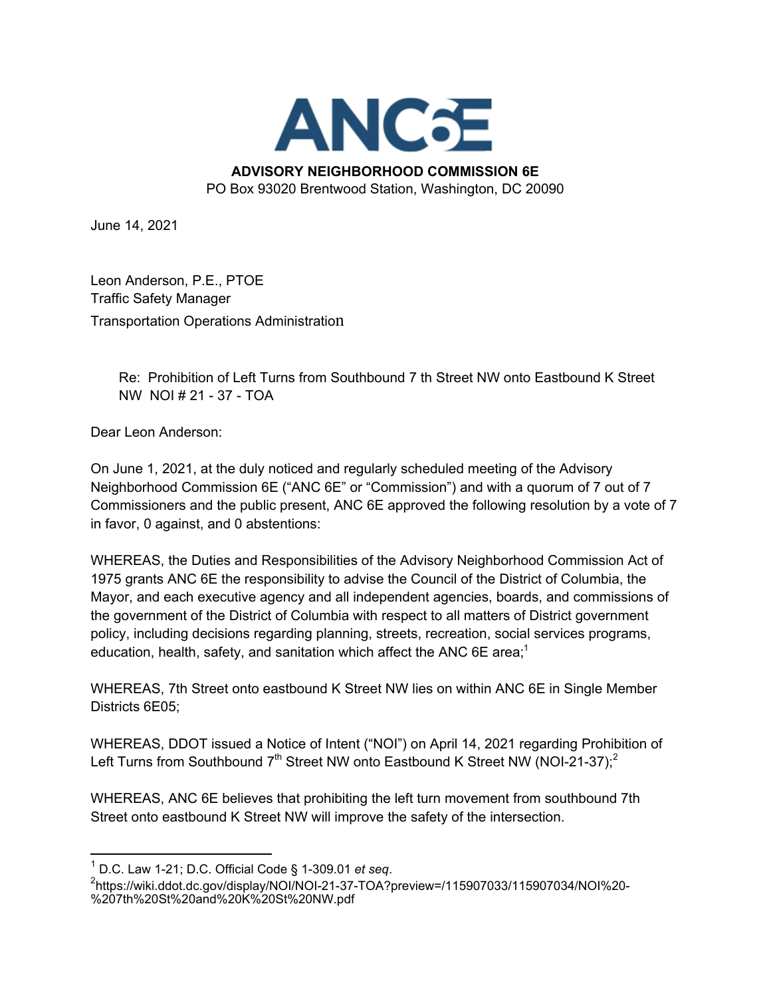

## **ADVISORY NEIGHBORHOOD COMMISSION 6E**

PO Box 93020 Brentwood Station, Washington, DC 20090

June 14, 2021

Leon Anderson, P.E., PTOE Traffic Safety Manager Transportation Operations Administration

> Re: Prohibition of Left Turns from Southbound 7 th Street NW onto Eastbound K Street NW NOI # 21 - 37 - TOA

Dear Leon Anderson:

On June 1, 2021, at the duly noticed and regularly scheduled meeting of the Advisory Neighborhood Commission 6E ("ANC 6E" or "Commission") and with a quorum of 7 out of 7 Commissioners and the public present, ANC 6E approved the following resolution by a vote of 7 in favor, 0 against, and 0 abstentions:

WHEREAS, the Duties and Responsibilities of the Advisory Neighborhood Commission Act of 1975 grants ANC 6E the responsibility to advise the Council of the District of Columbia, the Mayor, and each executive agency and all independent agencies, boards, and commissions of the government of the District of Columbia with respect to all matters of District government policy, including decisions regarding planning, streets, recreation, social services programs, education, health, safety, and sanitation which affect the ANC 6E area;<sup>1</sup>

WHEREAS, 7th Street onto eastbound K Street NW lies on within ANC 6E in Single Member Districts 6E05;

WHEREAS, DDOT issued a Notice of Intent ("NOI") on April 14, 2021 regarding Prohibition of Left Turns from Southbound  $7<sup>th</sup>$  Street NW onto Eastbound K Street NW (NOI-21-37);<sup>2</sup>

WHEREAS, ANC 6E believes that prohibiting the left turn movement from southbound 7th Street onto eastbound K Street NW will improve the safety of the intersection.

<sup>1</sup> D.C. Law 1-21; D.C. Official Code § 1-309.01 *et seq*.

<sup>&</sup>lt;sup>2</sup>https://wiki.ddot.dc.gov/display/NOI/NOI-21-37-TOA?preview=/115907033/115907034/NOI%20-%207th%20St%20and%20K%20St%20NW.pdf